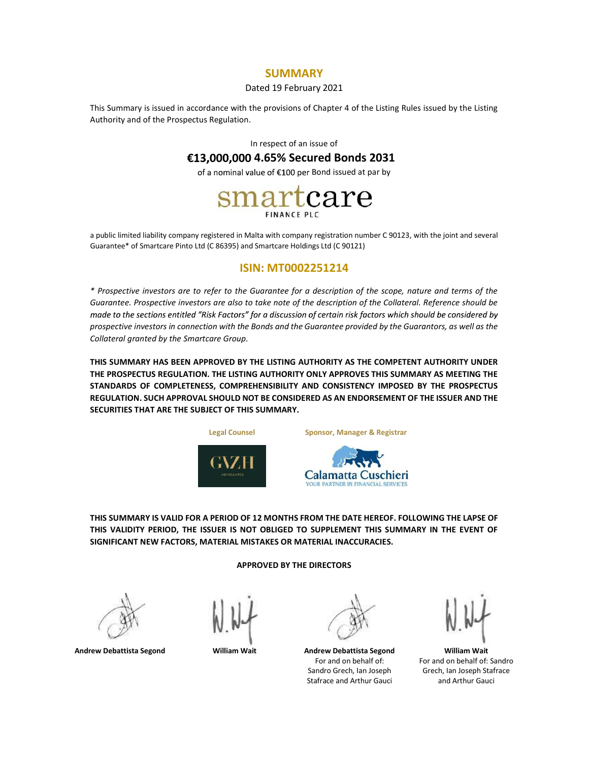# SUMMARY

#### Dated 19 February 2021

This Summary is issued in accordance with the provisions of Chapter 4 of the Listing Rules issued by the Listing Authority and of the Prospectus Regulation.

In respect of an issue of

# €13,000,000 4.65% Secured Bonds 2031

of a nominal value of  $E100$  per Bond issued at par by

# artcare

a public limited liability company registered in Malta with company registration number C 90123, with the joint and several Guarantee\* of Smartcare Pinto Ltd (C 86395) and Smartcare Holdings Ltd (C 90121)

# ISIN: MT0002251214

\* Prospective investors are to refer to the Guarantee for a description of the scope, nature and terms of the Guarantee. Prospective investors are also to take note of the description of the Collateral. Reference should be made to the sections entitled "Risk Factors" for a discussion of certain risk factors which should be considered by prospective investors in connection with the Bonds and the Guarantee provided by the Guarantors, as well as the Collateral granted by the Smartcare Group.

THIS SUMMARY HAS BEEN APPROVED BY THE LISTING AUTHORITY AS THE COMPETENT AUTHORITY UNDER THE PROSPECTUS REGULATION. THE LISTING AUTHORITY ONLY APPROVES THIS SUMMARY AS MEETING THE STANDARDS OF COMPLETENESS, COMPREHENSIBILITY AND CONSISTENCY IMPOSED BY THE PROSPECTUS REGULATION. SUCH APPROVAL SHOULD NOT BE CONSIDERED AS AN ENDORSEMENT OF THE ISSUER AND THE SECURITIES THAT ARE THE SUBJECT OF THIS SUMMARY.





THIS SUMMARY IS VALID FOR A PERIOD OF 12 MONTHS FROM THE DATE HEREOF. FOLLOWING THE LAPSE OF THIS VALIDITY PERIOD, THE ISSUER IS NOT OBLIGED TO SUPPLEMENT THIS SUMMARY IN THE EVENT OF SIGNIFICANT NEW FACTORS, MATERIAL MISTAKES OR MATERIAL INACCURACIES.

#### APPROVED BY THE DIRECTORS



Andrew Debattista Segond William Wait Andrew Debattista Segond For and on behalf of: Sandro Grech, Ian Joseph Stafrace and Arthur Gauci

William Wait For and on behalf of: Sandro Grech, Ian Joseph Stafrace and Arthur Gauci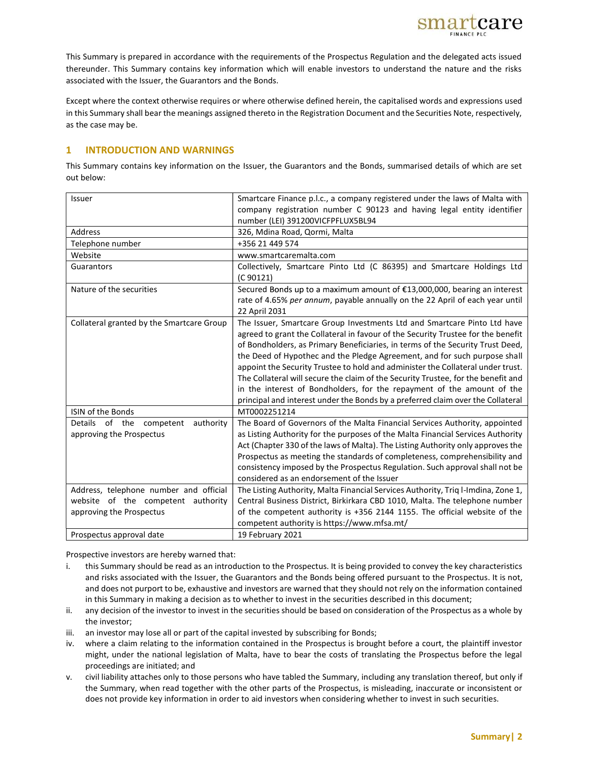

This Summary is prepared in accordance with the requirements of the Prospectus Regulation and the delegated acts issued thereunder. This Summary contains key information which will enable investors to understand the nature and the risks associated with the Issuer, the Guarantors and the Bonds.

Except where the context otherwise requires or where otherwise defined herein, the capitalised words and expressions used in this Summary shall bear the meanings assigned thereto in the Registration Document and the Securities Note, respectively, as the case may be.

# 1 INTRODUCTION AND WARNINGS

This Summary contains key information on the Issuer, the Guarantors and the Bonds, summarised details of which are set out below:

| Issuer                                    | Smartcare Finance p.l.c., a company registered under the laws of Malta with         |
|-------------------------------------------|-------------------------------------------------------------------------------------|
|                                           | company registration number C 90123 and having legal entity identifier              |
|                                           | number (LEI) 391200VICFPFLUX5BL94                                                   |
| <b>Address</b>                            | 326, Mdina Road, Qormi, Malta                                                       |
| Telephone number                          | +356 21 449 574                                                                     |
| Website                                   | www.smartcaremalta.com                                                              |
| Guarantors                                | Collectively, Smartcare Pinto Ltd (C 86395) and Smartcare Holdings Ltd<br>(C 90121) |
| Nature of the securities                  | Secured Bonds up to a maximum amount of €13,000,000, bearing an interest            |
|                                           | rate of 4.65% per annum, payable annually on the 22 April of each year until        |
|                                           | 22 April 2031                                                                       |
| Collateral granted by the Smartcare Group | The Issuer, Smartcare Group Investments Ltd and Smartcare Pinto Ltd have            |
|                                           | agreed to grant the Collateral in favour of the Security Trustee for the benefit    |
|                                           | of Bondholders, as Primary Beneficiaries, in terms of the Security Trust Deed,      |
|                                           | the Deed of Hypothec and the Pledge Agreement, and for such purpose shall           |
|                                           | appoint the Security Trustee to hold and administer the Collateral under trust.     |
|                                           | The Collateral will secure the claim of the Security Trustee, for the benefit and   |
|                                           | in the interest of Bondholders, for the repayment of the amount of the              |
|                                           | principal and interest under the Bonds by a preferred claim over the Collateral     |
| ISIN of the Bonds                         | MT0002251214                                                                        |
| Details of the competent<br>authority     | The Board of Governors of the Malta Financial Services Authority, appointed         |
| approving the Prospectus                  | as Listing Authority for the purposes of the Malta Financial Services Authority     |
|                                           | Act (Chapter 330 of the laws of Malta). The Listing Authority only approves the     |
|                                           | Prospectus as meeting the standards of completeness, comprehensibility and          |
|                                           | consistency imposed by the Prospectus Regulation. Such approval shall not be        |
|                                           | considered as an endorsement of the Issuer                                          |
| Address, telephone number and official    | The Listing Authority, Malta Financial Services Authority, Triq I-Imdina, Zone 1,   |
| website of the competent authority        | Central Business District, Birkirkara CBD 1010, Malta. The telephone number         |
| approving the Prospectus                  | of the competent authority is +356 2144 1155. The official website of the           |
|                                           | competent authority is https://www.mfsa.mt/                                         |
| Prospectus approval date                  | 19 February 2021                                                                    |

Prospective investors are hereby warned that:

- i. this Summary should be read as an introduction to the Prospectus. It is being provided to convey the key characteristics and risks associated with the Issuer, the Guarantors and the Bonds being offered pursuant to the Prospectus. It is not, and does not purport to be, exhaustive and investors are warned that they should not rely on the information contained in this Summary in making a decision as to whether to invest in the securities described in this document;
- ii. any decision of the investor to invest in the securities should be based on consideration of the Prospectus as a whole by the investor;
- iii. an investor may lose all or part of the capital invested by subscribing for Bonds;
- iv. where a claim relating to the information contained in the Prospectus is brought before a court, the plaintiff investor might, under the national legislation of Malta, have to bear the costs of translating the Prospectus before the legal proceedings are initiated; and<br>v. civil liability attaches only to those persons who have tabled the Summary, including any translation thereof, but only if
- the Summary, when read together with the other parts of the Prospectus, is misleading, inaccurate or inconsistent or does not provide key information in order to aid investors when considering whether to invest in such securities.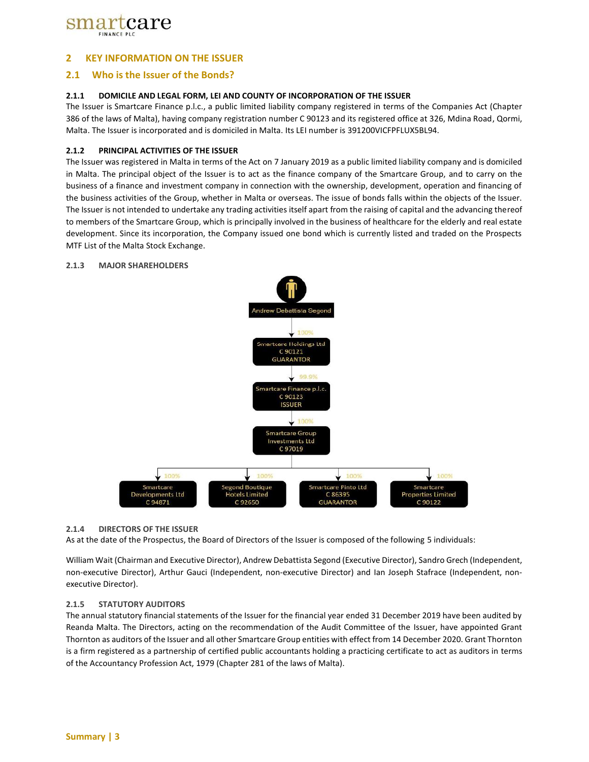# care

# 2 KEY INFORMATION ON THE ISSUER

# 2.1 Who is the Issuer of the Bonds?

#### 2.1.1 DOMICILE AND LEGAL FORM, LEI AND COUNTY OF INCORPORATION OF THE ISSUER

The Issuer is Smartcare Finance p.l.c., a public limited liability company registered in terms of the Companies Act (Chapter 386 of the laws of Malta), having company registration number C 90123 and its registered office at 326, Mdina Road, Qormi, Malta. The Issuer is incorporated and is domiciled in Malta. Its LEI number is 391200VICFPFLUX5BL94.

### 2.1.2 PRINCIPAL ACTIVITIES OF THE ISSUER

The Issuer was registered in Malta in terms of the Act on 7 January 2019 as a public limited liability company and is domiciled in Malta. The principal object of the Issuer is to act as the finance company of the Smartcare Group, and to carry on the business of a finance and investment company in connection with the ownership, development, operation and financing of the business activities of the Group, whether in Malta or overseas. The issue of bonds falls within the objects of the Issuer. The Issuer is not intended to undertake any trading activities itself apart from the raising of capital and the advancing thereof to members of the Smartcare Group, which is principally involved in the business of healthcare for the elderly and real estate development. Since its incorporation, the Company issued one bond which is currently listed and traded on the Prospects MTF List of the Malta Stock Exchange.

#### 2.1.3 MAJOR SHAREHOLDERS



#### 2.1.4 DIRECTORS OF THE ISSUER

As at the date of the Prospectus, the Board of Directors of the Issuer is composed of the following 5 individuals:

William Wait (Chairman and Executive Director), Andrew Debattista Segond (Executive Director), Sandro Grech (Independent, non-executive Director), Arthur Gauci (Independent, non-executive Director) and Ian Joseph Stafrace (Independent, nonexecutive Director).

#### 2.1.5 STATUTORY AUDITORS

The annual statutory financial statements of the Issuer for the financial year ended 31 December 2019 have been audited by Reanda Malta. The Directors, acting on the recommendation of the Audit Committee of the Issuer, have appointed Grant Thornton as auditors of the Issuer and all other Smartcare Group entities with effect from 14 December 2020. Grant Thornton is a firm registered as a partnership of certified public accountants holding a practicing certificate to act as auditors in terms of the Accountancy Profession Act, 1979 (Chapter 281 of the laws of Malta).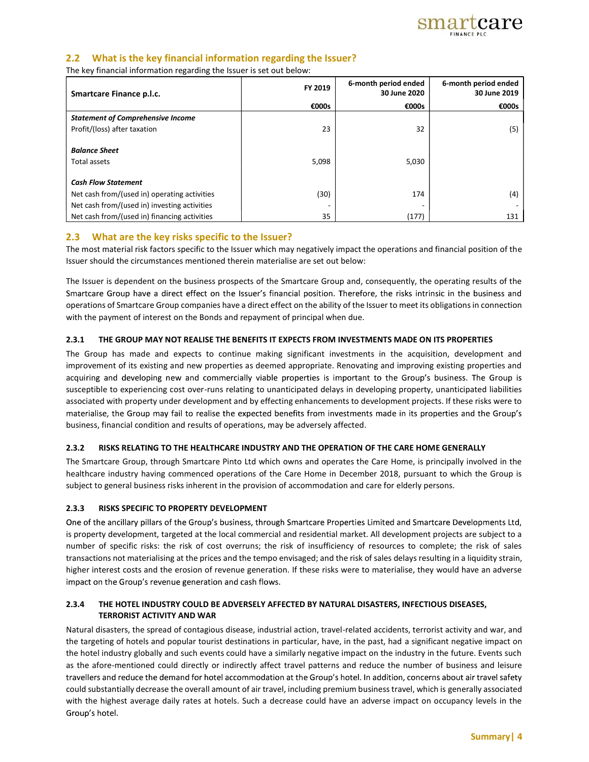

# 2.2 What is the key financial information regarding the Issuer?

The key financial information regarding the Issuer is set out below:

| Smartcare Finance p.l.c.                     | FY 2019                  | 6-month period ended<br>30 June 2020 | 6-month period ended<br>30 June 2019 |
|----------------------------------------------|--------------------------|--------------------------------------|--------------------------------------|
|                                              | €000s                    | €000s                                | €000s                                |
| <b>Statement of Comprehensive Income</b>     |                          |                                      |                                      |
| Profit/(loss) after taxation                 | 23                       | 32                                   | (5)                                  |
| <b>Balance Sheet</b><br>Total assets         | 5,098                    | 5,030                                |                                      |
| <b>Cash Flow Statement</b>                   |                          |                                      |                                      |
| Net cash from/(used in) operating activities | (30)                     | 174                                  | (4)                                  |
| Net cash from/(used in) investing activities | $\overline{\phantom{a}}$ |                                      |                                      |
| Net cash from/(used in) financing activities | 35                       | (177)                                | 131                                  |

# 2.3 What are the key risks specific to the Issuer?

The most material risk factors specific to the Issuer which may negatively impact the operations and financial position of the Issuer should the circumstances mentioned therein materialise are set out below:

The Issuer is dependent on the business prospects of the Smartcare Group and, consequently, the operating results of the Smartcare Group have a direct effect on the Issuer's financial position. Therefore, the risks intrinsic in the business and operations of Smartcare Group companies have a direct effect on the ability of the Issuer to meet its obligations in connection with the payment of interest on the Bonds and repayment of principal when due.

#### 2.3.1 THE GROUP MAY NOT REALISE THE BENEFITS IT EXPECTS FROM INVESTMENTS MADE ON ITS PROPERTIES

The Group has made and expects to continue making significant investments in the acquisition, development and improvement of its existing and new properties as deemed appropriate. Renovating and improving existing properties and acquiring and developing new and commercially viable properties is important to the Group's business. The Group is susceptible to experiencing cost over-runs relating to unanticipated delays in developing property, unanticipated liabilities associated with property under development and by effecting enhancements to development projects. If these risks were to materialise, the Group may fail to realise the expected benefits from investments made in its properties and the Group's business, financial condition and results of operations, may be adversely affected.

#### 2.3.2 RISKS RELATING TO THE HEALTHCARE INDUSTRY AND THE OPERATION OF THE CARE HOME GENERALLY

The Smartcare Group, through Smartcare Pinto Ltd which owns and operates the Care Home, is principally involved in the healthcare industry having commenced operations of the Care Home in December 2018, pursuant to which the Group is subject to general business risks inherent in the provision of accommodation and care for elderly persons.

# 2.3.3 RISKS SPECIFIC TO PROPERTY DEVELOPMENT

One of the ancillary pillars of the Group's business, through Smartcare Properties Limited and Smartcare Developments Ltd, is property development, targeted at the local commercial and residential market. All development projects are subject to a number of specific risks: the risk of cost overruns; the risk of insufficiency of resources to complete; the risk of sales transactions not materialising at the prices and the tempo envisaged; and the risk of sales delays resulting in a liquidity strain, higher interest costs and the erosion of revenue generation. If these risks were to materialise, they would have an adverse impact on the Group's revenue generation and cash flows.

#### 2.3.4 THE HOTEL INDUSTRY COULD BE ADVERSELY AFFECTED BY NATURAL DISASTERS, INFECTIOUS DISEASES, TERRORIST ACTIVITY AND WAR

Natural disasters, the spread of contagious disease, industrial action, travel-related accidents, terrorist activity and war, and the targeting of hotels and popular tourist destinations in particular, have, in the past, had a significant negative impact on the hotel industry globally and such events could have a similarly negative impact on the industry in the future. Events such as the afore-mentioned could directly or indirectly affect travel patterns and reduce the number of business and leisure travellers and reduce the demand for hotel accommodation at the Group's hotel. In addition, concerns about air travel safety could substantially decrease the overall amount of air travel, including premium business travel, which is generally associated with the highest average daily rates at hotels. Such a decrease could have an adverse impact on occupancy levels in the Group's hotel.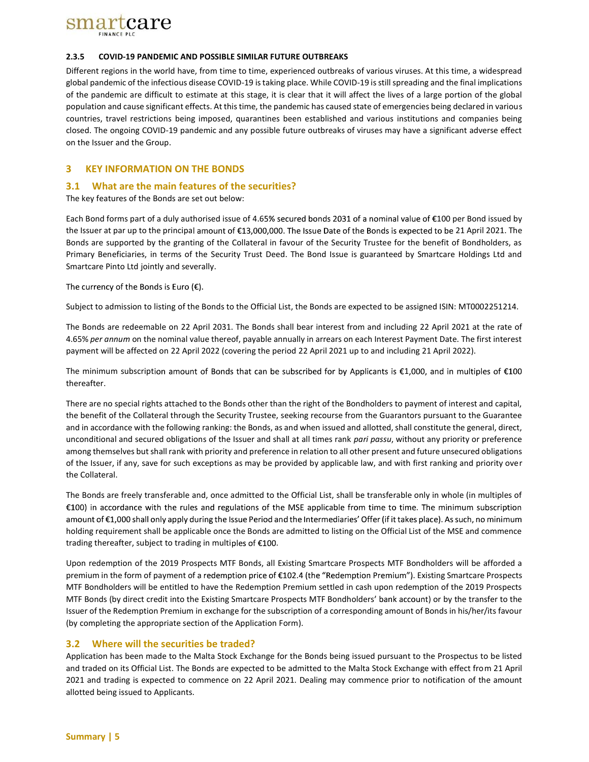

#### 2.3.5 COVID-19 PANDEMIC AND POSSIBLE SIMILAR FUTURE OUTBREAKS

Different regions in the world have, from time to time, experienced outbreaks of various viruses. At this time, a widespread global pandemic of the infectious disease COVID-19 is taking place. While COVID-19 is still spreading and the final implications of the pandemic are difficult to estimate at this stage, it is clear that it will affect the lives of a large portion of the global population and cause significant effects. At this time, the pandemic has caused state of emergencies being declared in various countries, travel restrictions being imposed, quarantines been established and various institutions and companies being closed. The ongoing COVID-19 pandemic and any possible future outbreaks of viruses may have a significant adverse effect on the Issuer and the Group.

# 3 KEY INFORMATION ON THE BONDS

#### 3.1 What are the main features of the securities?

The key features of the Bonds are set out below:

Each Bond forms part of a duly authorised issue of 4.65% secured bonds 2031 of a nominal value of  $\epsilon$ 100 per Bond issued by the Issuer at par up to the principal amount of €13,000,000. The Issue Date of the Bonds is expected to be 21 April 2021. The Bonds are supported by the granting of the Collateral in favour of the Security Trustee for the benefit of Bondholders, as Primary Beneficiaries, in terms of the Security Trust Deed. The Bond Issue is guaranteed by Smartcare Holdings Ltd and Smartcare Pinto Ltd jointly and severally.

The currency of the Bonds is Euro ( $\epsilon$ ).

Subject to admission to listing of the Bonds to the Official List, the Bonds are expected to be assigned ISIN: MT0002251214.

The Bonds are redeemable on 22 April 2031. The Bonds shall bear interest from and including 22 April 2021 at the rate of 4.65% per annum on the nominal value thereof, payable annually in arrears on each Interest Payment Date. The first interest payment will be affected on 22 April 2022 (covering the period 22 April 2021 up to and including 21 April 2022).

The minimum subscription amount of Bonds that can be subscribed for by Applicants is  $£1,000$ , and in multiples of  $£100$ thereafter.

There are no special rights attached to the Bonds other than the right of the Bondholders to payment of interest and capital, the benefit of the Collateral through the Security Trustee, seeking recourse from the Guarantors pursuant to the Guarantee and in accordance with the following ranking: the Bonds, as and when issued and allotted, shall constitute the general, direct, unconditional and secured obligations of the Issuer and shall at all times rank pari passu, without any priority or preference among themselves but shall rank with priority and preference in relation to all other present and future unsecured obligations of the Issuer, if any, save for such exceptions as may be provided by applicable law, and with first ranking and priority over the Collateral.

The Bonds are freely transferable and, once admitted to the Official List, shall be transferable only in whole (in multiples of €100) in accordance with the rules and regulations of the MSE applicable from time to time. The minimum subscription amount of €1,000 shall only apply during the Issue Period and the Intermediaries' Offer (if it takes place). As such, no minimum holding requirement shall be applicable once the Bonds are admitted to listing on the Official List of the MSE and commence trading thereafter, subject to trading in multiples of €100.<br>Upon redemption of the 2019 Prospects MTF Bonds, all Existing Smartcare Prospects MTF Bondholders will be afforded a

premium in the form of payment of a redemption price of €102.4 (the "Redemption Premium"). Existing Smartcare Prospects MTF Bondholders will be entitled to have the Redemption Premium settled in cash upon redemption of the 2019 Prospects MTF Bonds (by direct credit into the Existing Smartcare Prospects MTF Bondholders' bank account) or by the transfer to the Issuer of the Redemption Premium in exchange for the subscription of a corresponding amount of Bonds in his/her/its favour (by completing the appropriate section of the Application Form).

# 3.2 Where will the securities be traded?

Application has been made to the Malta Stock Exchange for the Bonds being issued pursuant to the Prospectus to be listed and traded on its Official List. The Bonds are expected to be admitted to the Malta Stock Exchange with effect from 21 April 2021 and trading is expected to commence on 22 April 2021. Dealing may commence prior to notification of the amount allotted being issued to Applicants.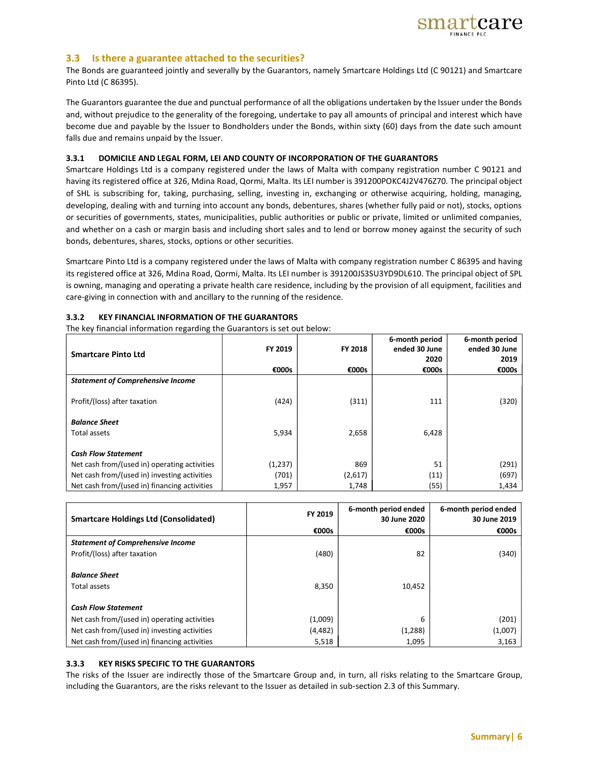

# 3.3 Is there a guarantee attached to the securities?

The Bonds are guaranteed jointly and severally by the Guarantors, namely Smartcare Holdings Ltd (C 90121) and Smartcare Pinto Ltd (C 86395).

The Guarantors guarantee the due and punctual performance of all the obligations undertaken by the Issuer under the Bonds and, without prejudice to the generality of the foregoing, undertake to pay all amounts of principal and interest which have become due and payable by the Issuer to Bondholders under the Bonds, within sixty (60) days from the date such amount falls due and remains unpaid by the Issuer.

#### 3.3.1 DOMICILE AND LEGAL FORM, LEI AND COUNTY OF INCORPORATION OF THE GUARANTORS

Smartcare Holdings Ltd is a company registered under the laws of Malta with company registration number C 90121 and having its registered office at 326, Mdina Road, Qormi, Malta. Its LEI number is 391200POKC4J2V476Z70. The principal object of SHL is subscribing for, taking, purchasing, selling, investing in, exchanging or otherwise acquiring, holding, managing, developing, dealing with and turning into account any bonds, debentures, shares (whether fully paid or not), stocks, options or securities of governments, states, municipalities, public authorities or public or private, limited or unlimited companies, and whether on a cash or margin basis and including short sales and to lend or borrow money against the security of such bonds, debentures, shares, stocks, options or other securities.

 Smartcare Pinto Ltd is a company registered under the laws of Malta with company registration number C 86395 and having its registered office at 326, Mdina Road, Qormi, Malta. Its LEI number is 391200JS3SU3YD9DL610. The principal object of SPL is owning, managing and operating a private health care residence, including by the provision of all equipment, facilities and care-giving in connection with and ancillary to the running of the residence.

| <b>Smartcare Pinto Ltd</b>                   | FY 2019 | <b>FY 2018</b> | 6-month period<br>ended 30 June | 6-month period<br>ended 30 June |
|----------------------------------------------|---------|----------------|---------------------------------|---------------------------------|
|                                              | €000s   | €000s          | 2020<br>€000s                   | 2019<br>€000s                   |
| <b>Statement of Comprehensive Income</b>     |         |                |                                 |                                 |
| Profit/(loss) after taxation                 | (424)   | (311)          | 111                             | (320)                           |
| <b>Balance Sheet</b>                         |         |                |                                 |                                 |
| Total assets                                 | 5,934   | 2,658          | 6,428                           |                                 |
| <b>Cash Flow Statement</b>                   |         |                |                                 |                                 |
| Net cash from/(used in) operating activities | (1,237) | 869            | 51                              | (291)                           |
| Net cash from/(used in) investing activities | (701)   | (2,617)        | (11)                            | (697)                           |
| Net cash from/(used in) financing activities | 1,957   | 1,748          | (55)                            | 1,434                           |

#### 3.3.2 KEY FINANCIAL INFORMATION OF THE GUARANTORS

The key financial information regarding the Guarantors is set out below:

| <b>Smartcare Holdings Ltd (Consolidated)</b> | FY 2019  | 6-month period ended<br>30 June 2020 | 6-month period ended<br>30 June 2019 |
|----------------------------------------------|----------|--------------------------------------|--------------------------------------|
|                                              | €000s    | €000s                                | €000s                                |
| <b>Statement of Comprehensive Income</b>     |          |                                      |                                      |
| Profit/(loss) after taxation                 | (480)    | 82                                   | (340)                                |
| <b>Balance Sheet</b><br>Total assets         | 8,350    | 10,452                               |                                      |
| <b>Cash Flow Statement</b>                   |          |                                      |                                      |
| Net cash from/(used in) operating activities | (1,009)  | 6                                    | (201)                                |
| Net cash from/(used in) investing activities | (4, 482) | (1,288)                              | (1,007)                              |
| Net cash from/(used in) financing activities | 5,518    | 1,095                                | 3,163                                |

#### 3.3.3 KEY RISKS SPECIFIC TO THE GUARANTORS

The risks of the Issuer are indirectly those of the Smartcare Group and, in turn, all risks relating to the Smartcare Group, including the Guarantors, are the risks relevant to the Issuer as detailed in sub-section 2.3 of this Summary.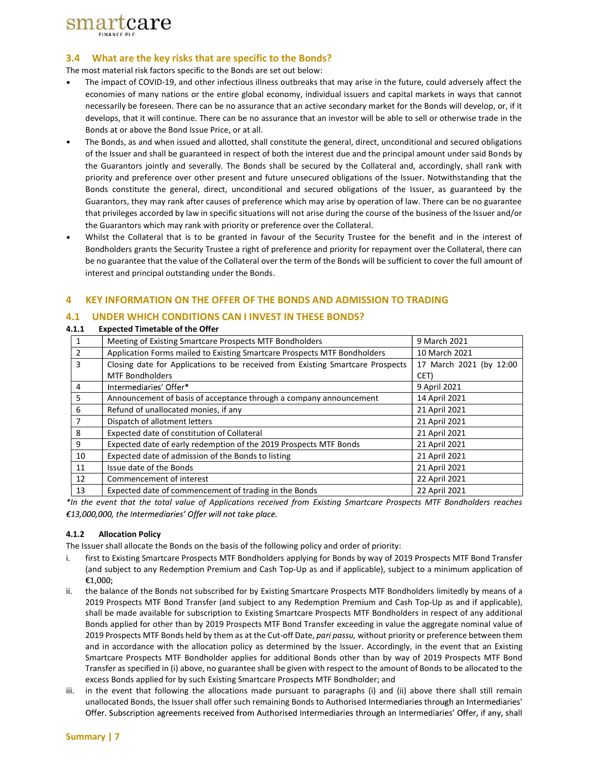

# 3.4 What are the key risks that are specific to the Bonds?

The most material risk factors specific to the Bonds are set out below:

- The impact of COVID-19, and other infectious illness outbreaks that may arise in the future, could adversely affect the economies of many nations or the entire global economy, individual issuers and capital markets in ways that cannot necessarily be foreseen. There can be no assurance that an active secondary market for the Bonds will develop, or, if it develops, that it will continue. There can be no assurance that an investor will be able to sell or otherwise trade in the Bonds at or above the Bond Issue Price, or at all.
- The Bonds, as and when issued and allotted, shall constitute the general, direct, unconditional and secured obligations of the Issuer and shall be guaranteed in respect of both the interest due and the principal amount under said Bonds by the Guarantors jointly and severally. The Bonds shall be secured by the Collateral and, accordingly, shall rank with priority and preference over other present and future unsecured obligations of the Issuer. Notwithstanding that the Bonds constitute the general, direct, unconditional and secured obligations of the Issuer, as guaranteed by the Guarantors, they may rank after causes of preference which may arise by operation of law. There can be no guarantee that privileges accorded by law in specific situations will not arise during the course of the business of the Issuer and/or the Guarantors which may rank with priority or preference over the Collateral.
- Whilst the Collateral that is to be granted in favour of the Security Trustee for the benefit and in the interest of Bondholders grants the Security Trustee a right of preference and priority for repayment over the Collateral, there can be no guarantee that the value of the Collateral over the term of the Bonds will be sufficient to cover the full amount of interest and principal outstanding under the Bonds.

# 4 KEY INFORMATION ON THE OFFER OF THE BONDS AND ADMISSION TO TRADING

# 4.1 UNDER WHICH CONDITIONS CAN I INVEST IN THESE BONDS?

#### 4.1.1 Expected Timetable of the Offer

|    | Meeting of Existing Smartcare Prospects MTF Bondholders                        | 9 March 2021            |
|----|--------------------------------------------------------------------------------|-------------------------|
|    | Application Forms mailed to Existing Smartcare Prospects MTF Bondholders       | 10 March 2021           |
| 3  | Closing date for Applications to be received from Existing Smartcare Prospects | 17 March 2021 (by 12:00 |
|    | <b>MTF Bondholders</b>                                                         | CET)                    |
| 4  | Intermediaries' Offer*                                                         | 9 April 2021            |
| 5  | Announcement of basis of acceptance through a company announcement             | 14 April 2021           |
| 6  | Refund of unallocated monies, if any                                           | 21 April 2021           |
|    | Dispatch of allotment letters                                                  | 21 April 2021           |
| 8  | Expected date of constitution of Collateral                                    | 21 April 2021           |
| 9  | Expected date of early redemption of the 2019 Prospects MTF Bonds              | 21 April 2021           |
| 10 | Expected date of admission of the Bonds to listing                             | 21 April 2021           |
| 11 | Issue date of the Bonds                                                        | 21 April 2021           |
| 12 | Commencement of interest                                                       | 22 April 2021           |
| 13 | Expected date of commencement of trading in the Bonds                          | 22 April 2021           |

\*In the event that the total value of Applications received from Existing Smartcare Prospects MTF Bondholders reaches €13,000,000, the Intermediaries' Offer will not take place.

#### 4.1.2 Allocation Policy

The Issuer shall allocate the Bonds on the basis of the following policy and order of priority:

- i. first to Existing Smartcare Prospects MTF Bondholders applying for Bonds by way of 2019 Prospects MTF Bond Transfer (and subject to any Redemption Premium and Cash Top-Up as and if applicable), subject to a minimum application of €1,000;
- ii. the balance of the Bonds not subscribed for by Existing Smartcare Prospects MTF Bondholders limitedly by means of a 2019 Prospects MTF Bond Transfer (and subject to any Redemption Premium and Cash Top-Up as and if applicable), shall be made available for subscription to Existing Smartcare Prospects MTF Bondholders in respect of any additional Bonds applied for other than by 2019 Prospects MTF Bond Transfer exceeding in value the aggregate nominal value of 2019 Prospects MTF Bonds held by them as at the Cut-off Date, pari passu, without priority or preference between them and in accordance with the allocation policy as determined by the Issuer. Accordingly, in the event that an Existing Smartcare Prospects MTF Bondholder applies for additional Bonds other than by way of 2019 Prospects MTF Bond Transfer as specified in (i) above, no guarantee shall be given with respect to the amount of Bonds to be allocated to the excess Bonds applied for by such Existing Smartcare Prospects MTF Bondholder; and
- iii. in the event that following the allocations made pursuant to paragraphs (i) and (ii) above there shall still remain unallocated Bonds, the Issuer shall offer such remaining Bonds to Authorised Intermediaries through an Intermediaries' Offer. Subscription agreements received from Authorised Intermediaries through an Intermediaries' Offer, if any, shall